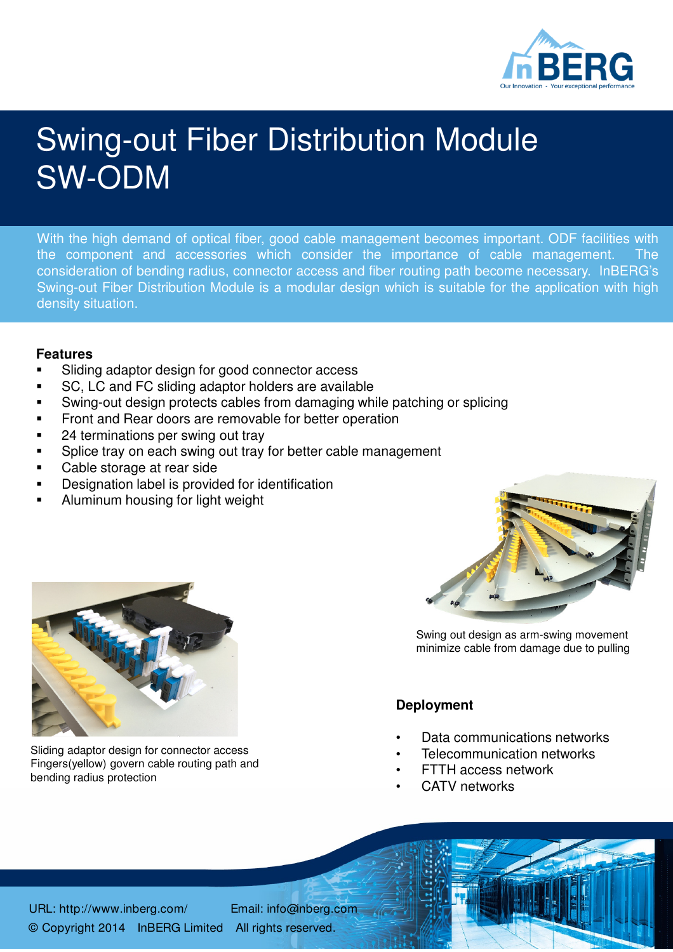

## Swing-out Fiber Distribution Module SW-ODM

With the high demand of optical fiber, good cable management becomes important. ODF facilities with the component and accessories which consider the importance of cable management. The consideration of bending radius, connector access and fiber routing path become necessary. InBERG's Swing-out Fiber Distribution Module is a modular design which is suitable for the application with high density situation.

## **Features**

- Sliding adaptor design for good connector access
- SC, LC and FC sliding adaptor holders are available
- Swing-out design protects cables from damaging while patching or splicing
- Front and Rear doors are removable for better operation
- 24 terminations per swing out tray
- Splice tray on each swing out tray for better cable management
- Cable storage at rear side
- Designation label is provided for identification
- Aluminum housing for light weight



Sliding adaptor design for connector access Fingers(yellow) govern cable routing path and bending radius protection



Swing out design as arm-swing movement minimize cable from damage due to pulling

## **Deployment**

- Data communications networks
- Telecommunication networks
- FTTH access network
- CATV networks

URL: http://www.inberg.com/ Email: info@inberg.com © Copyright 2014 InBERG Limited All rights reserved.